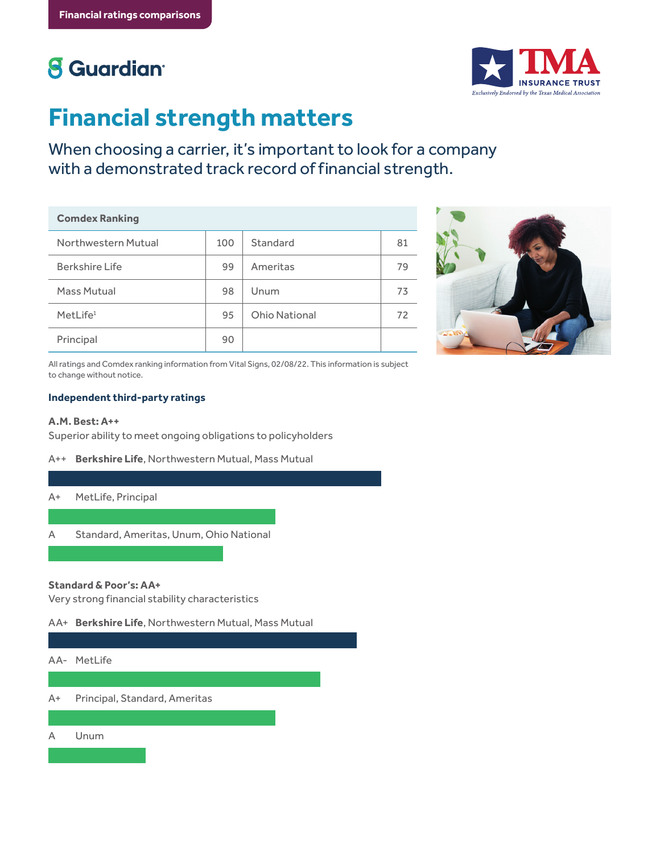# **8** Guardian<sup>®</sup>



# **Financial strength matters**

When choosing a carrier, it's important to look for a company with a demonstrated track record of financial strength.

#### **Comdex Ranking**

| Northwestern Mutual  | 100 | Standard             | 81 |
|----------------------|-----|----------------------|----|
| Berkshire Life       | 99  | Ameritas             | 79 |
| Mass Mutual          | 98  | Unum                 | 73 |
| MetLife <sup>1</sup> | 95  | <b>Ohio National</b> | 72 |
| Principal            | 90  |                      |    |



All ratings and Comdex ranking information from Vital Signs, 02/08/22. This information is subject to change without notice.

## **Independent third-party ratings**

## **A.M. Best: A++**

Superior ability to meet ongoing obligations to policyholders

A++ **Berkshire Life**, Northwestern Mutual, Mass Mutual

### A+ MetLife, Principal

A Standard, Ameritas, Unum, Ohio National

### **Standard & Poor's: AA+**

Very strong financial stability characteristics

AA+ **Berkshire Life**, Northwestern Mutual, Mass Mutual

### AA- MetLife

A+ Principal, Standard, Ameritas

A Unum